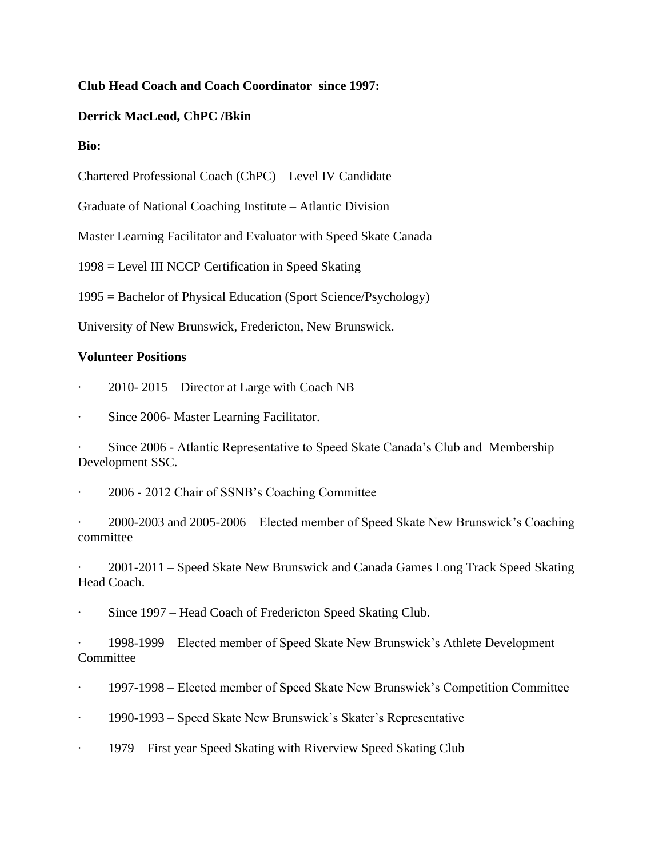# **Club Head Coach and Coach Coordinator since 1997:**

### **Derrick MacLeod, ChPC /Bkin**

#### **Bio:**

Chartered Professional Coach (ChPC) – Level IV Candidate

Graduate of National Coaching Institute – Atlantic Division

Master Learning Facilitator and Evaluator with Speed Skate Canada

1998 = Level III NCCP Certification in Speed Skating

1995 = Bachelor of Physical Education (Sport Science/Psychology)

University of New Brunswick, Fredericton, New Brunswick.

### **Volunteer Positions**

- 2010-2015 Director at Large with Coach NB
- Since 2006- Master Learning Facilitator.

Since 2006 - Atlantic Representative to Speed Skate Canada's Club and Membership Development SSC.

2006 - 2012 Chair of SSNB's Coaching Committee

· 2000-2003 and 2005-2006 – Elected member of Speed Skate New Brunswick's Coaching committee

· 2001-2011 – Speed Skate New Brunswick and Canada Games Long Track Speed Skating Head Coach.

Since 1997 – Head Coach of Fredericton Speed Skating Club.

· 1998-1999 – Elected member of Speed Skate New Brunswick's Athlete Development Committee

- · 1997-1998 Elected member of Speed Skate New Brunswick's Competition Committee
- · 1990-1993 Speed Skate New Brunswick's Skater's Representative
- · 1979 First year Speed Skating with Riverview Speed Skating Club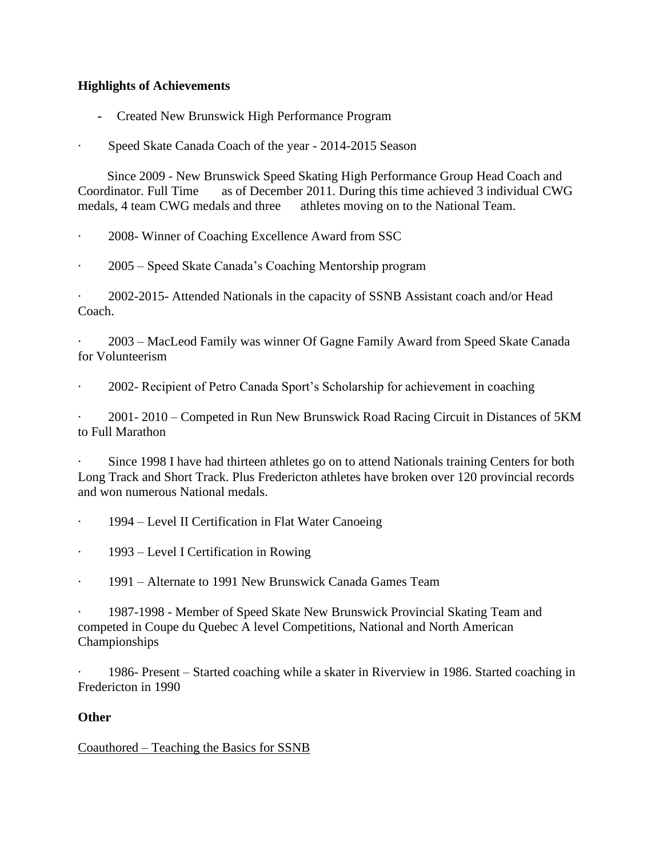# **Highlights of Achievements**

- **-** Created New Brunswick High Performance Program
- Speed Skate Canada Coach of the year 2014-2015 Season

Since 2009 - New Brunswick Speed Skating High Performance Group Head Coach and Coordinator. Full Time as of December 2011. During this time achieved 3 individual CWG medals, 4 team CWG medals and three athletes moving on to the National Team.

· 2008- Winner of Coaching Excellence Award from SSC

· 2005 – Speed Skate Canada's Coaching Mentorship program

· 2002-2015- Attended Nationals in the capacity of SSNB Assistant coach and/or Head Coach.

· 2003 – MacLeod Family was winner Of Gagne Family Award from Speed Skate Canada for Volunteerism

2002- Recipient of Petro Canada Sport's Scholarship for achievement in coaching

· 2001- 2010 – Competed in Run New Brunswick Road Racing Circuit in Distances of 5KM to Full Marathon

Since 1998 I have had thirteen athletes go on to attend Nationals training Centers for both Long Track and Short Track. Plus Fredericton athletes have broken over 120 provincial records and won numerous National medals.

1994 – Level II Certification in Flat Water Canoeing

· 1993 – Level I Certification in Rowing

· 1991 – Alternate to 1991 New Brunswick Canada Games Team

· 1987-1998 - Member of Speed Skate New Brunswick Provincial Skating Team and competed in Coupe du Quebec A level Competitions, National and North American Championships

1986- Present – Started coaching while a skater in Riverview in 1986. Started coaching in Fredericton in 1990

# **Other**

Coauthored – Teaching the Basics for SSNB